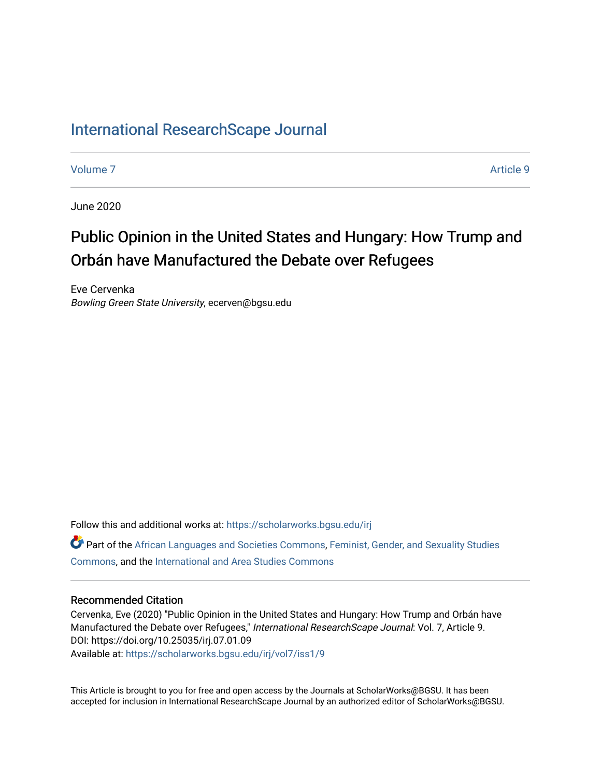## [International ResearchScape Journal](https://scholarworks.bgsu.edu/irj)

[Volume 7](https://scholarworks.bgsu.edu/irj/vol7) Article 9

June 2020

# Public Opinion in the United States and Hungary: How Trump and Orbán have Manufactured the Debate over Refugees

Eve Cervenka Bowling Green State University, ecerven@bgsu.edu

Follow this and additional works at: [https://scholarworks.bgsu.edu/irj](https://scholarworks.bgsu.edu/irj?utm_source=scholarworks.bgsu.edu%2Firj%2Fvol7%2Fiss1%2F9&utm_medium=PDF&utm_campaign=PDFCoverPages) 

Part of the [African Languages and Societies Commons,](http://network.bepress.com/hgg/discipline/476?utm_source=scholarworks.bgsu.edu%2Firj%2Fvol7%2Fiss1%2F9&utm_medium=PDF&utm_campaign=PDFCoverPages) [Feminist, Gender, and Sexuality Studies](http://network.bepress.com/hgg/discipline/559?utm_source=scholarworks.bgsu.edu%2Firj%2Fvol7%2Fiss1%2F9&utm_medium=PDF&utm_campaign=PDFCoverPages) [Commons](http://network.bepress.com/hgg/discipline/559?utm_source=scholarworks.bgsu.edu%2Firj%2Fvol7%2Fiss1%2F9&utm_medium=PDF&utm_campaign=PDFCoverPages), and the [International and Area Studies Commons](http://network.bepress.com/hgg/discipline/360?utm_source=scholarworks.bgsu.edu%2Firj%2Fvol7%2Fiss1%2F9&utm_medium=PDF&utm_campaign=PDFCoverPages) 

#### Recommended Citation

Cervenka, Eve (2020) "Public Opinion in the United States and Hungary: How Trump and Orbán have Manufactured the Debate over Refugees," International ResearchScape Journal: Vol. 7, Article 9. DOI: https://doi.org/10.25035/irj.07.01.09 Available at: [https://scholarworks.bgsu.edu/irj/vol7/iss1/9](https://scholarworks.bgsu.edu/irj/vol7/iss1/9?utm_source=scholarworks.bgsu.edu%2Firj%2Fvol7%2Fiss1%2F9&utm_medium=PDF&utm_campaign=PDFCoverPages)

This Article is brought to you for free and open access by the Journals at ScholarWorks@BGSU. It has been accepted for inclusion in International ResearchScape Journal by an authorized editor of ScholarWorks@BGSU.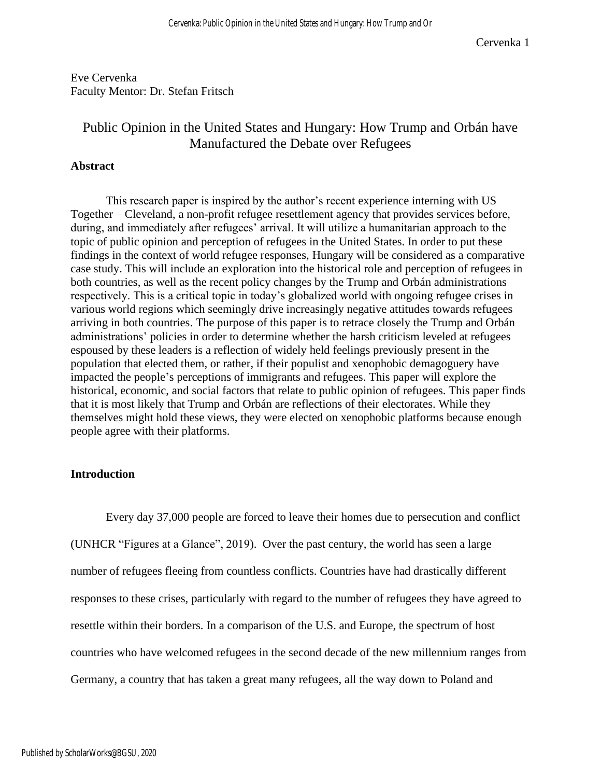Eve Cervenka Faculty Mentor: Dr. Stefan Fritsch

### Public Opinion in the United States and Hungary: How Trump and Orbán have Manufactured the Debate over Refugees

#### **Abstract**

This research paper is inspired by the author's recent experience interning with US Together – Cleveland, a non-profit refugee resettlement agency that provides services before, during, and immediately after refugees' arrival. It will utilize a humanitarian approach to the topic of public opinion and perception of refugees in the United States. In order to put these findings in the context of world refugee responses, Hungary will be considered as a comparative case study. This will include an exploration into the historical role and perception of refugees in both countries, as well as the recent policy changes by the Trump and Orbán administrations respectively. This is a critical topic in today's globalized world with ongoing refugee crises in various world regions which seemingly drive increasingly negative attitudes towards refugees arriving in both countries. The purpose of this paper is to retrace closely the Trump and Orbán administrations' policies in order to determine whether the harsh criticism leveled at refugees espoused by these leaders is a reflection of widely held feelings previously present in the population that elected them, or rather, if their populist and xenophobic demagoguery have impacted the people's perceptions of immigrants and refugees. This paper will explore the historical, economic, and social factors that relate to public opinion of refugees. This paper finds that it is most likely that Trump and Orbán are reflections of their electorates. While they themselves might hold these views, they were elected on xenophobic platforms because enough people agree with their platforms.

#### **Introduction**

Every day 37,000 people are forced to leave their homes due to persecution and conflict (UNHCR "Figures at a Glance", 2019). Over the past century, the world has seen a large number of refugees fleeing from countless conflicts. Countries have had drastically different responses to these crises, particularly with regard to the number of refugees they have agreed to resettle within their borders. In a comparison of the U.S. and Europe, the spectrum of host countries who have welcomed refugees in the second decade of the new millennium ranges from Germany, a country that has taken a great many refugees, all the way down to Poland and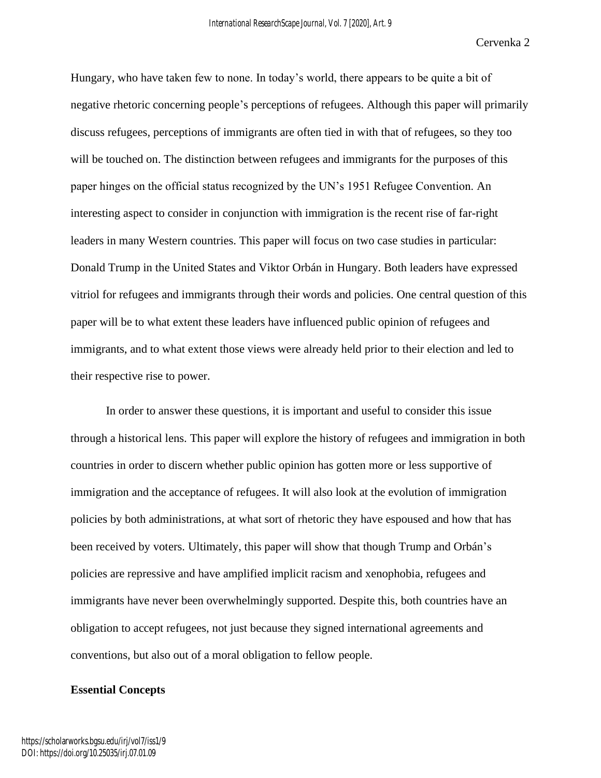Hungary, who have taken few to none. In today's world, there appears to be quite a bit of negative rhetoric concerning people's perceptions of refugees. Although this paper will primarily discuss refugees, perceptions of immigrants are often tied in with that of refugees, so they too will be touched on. The distinction between refugees and immigrants for the purposes of this paper hinges on the official status recognized by the UN's 1951 Refugee Convention. An interesting aspect to consider in conjunction with immigration is the recent rise of far-right leaders in many Western countries. This paper will focus on two case studies in particular: Donald Trump in the United States and Viktor Orbán in Hungary. Both leaders have expressed vitriol for refugees and immigrants through their words and policies. One central question of this paper will be to what extent these leaders have influenced public opinion of refugees and immigrants, and to what extent those views were already held prior to their election and led to their respective rise to power.

In order to answer these questions, it is important and useful to consider this issue through a historical lens. This paper will explore the history of refugees and immigration in both countries in order to discern whether public opinion has gotten more or less supportive of immigration and the acceptance of refugees. It will also look at the evolution of immigration policies by both administrations, at what sort of rhetoric they have espoused and how that has been received by voters. Ultimately, this paper will show that though Trump and Orbán's policies are repressive and have amplified implicit racism and xenophobia, refugees and immigrants have never been overwhelmingly supported. Despite this, both countries have an obligation to accept refugees, not just because they signed international agreements and conventions, but also out of a moral obligation to fellow people.

#### **Essential Concepts**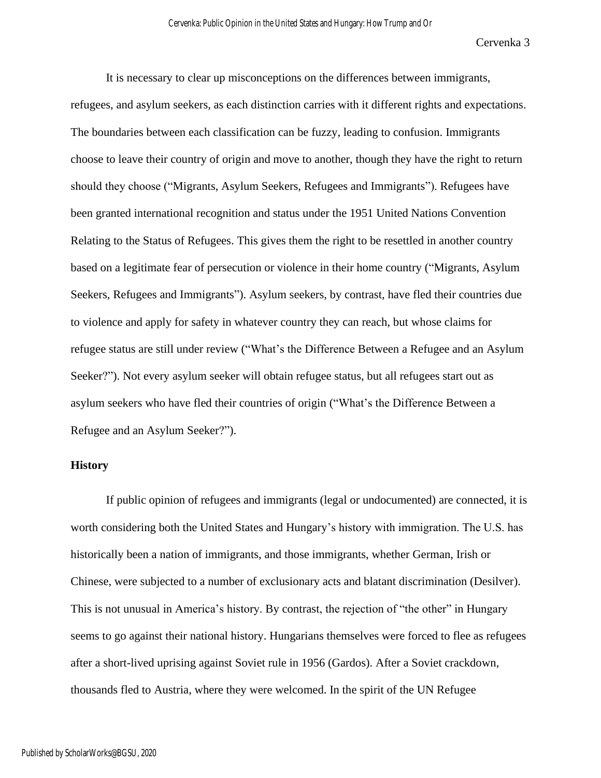It is necessary to clear up misconceptions on the differences between immigrants, refugees, and asylum seekers, as each distinction carries with it different rights and expectations. The boundaries between each classification can be fuzzy, leading to confusion. Immigrants choose to leave their country of origin and move to another, though they have the right to return should they choose ("Migrants, Asylum Seekers, Refugees and Immigrants"). Refugees have been granted international recognition and status under the 1951 United Nations Convention Relating to the Status of Refugees. This gives them the right to be resettled in another country based on a legitimate fear of persecution or violence in their home country ("Migrants, Asylum Seekers, Refugees and Immigrants"). Asylum seekers, by contrast, have fled their countries due to violence and apply for safety in whatever country they can reach, but whose claims for refugee status are still under review ("What's the Difference Between a Refugee and an Asylum Seeker?"). Not every asylum seeker will obtain refugee status, but all refugees start out as asylum seekers who have fled their countries of origin ("What's the Difference Between a Refugee and an Asylum Seeker?").

#### **History**

If public opinion of refugees and immigrants (legal or undocumented) are connected, it is worth considering both the United States and Hungary's history with immigration. The U.S. has historically been a nation of immigrants, and those immigrants, whether German, Irish or Chinese, were subjected to a number of exclusionary acts and blatant discrimination (Desilver). This is not unusual in America's history. By contrast, the rejection of "the other" in Hungary seems to go against their national history. Hungarians themselves were forced to flee as refugees after a short-lived uprising against Soviet rule in 1956 (Gardos). After a Soviet crackdown, thousands fled to Austria, where they were welcomed. In the spirit of the UN Refugee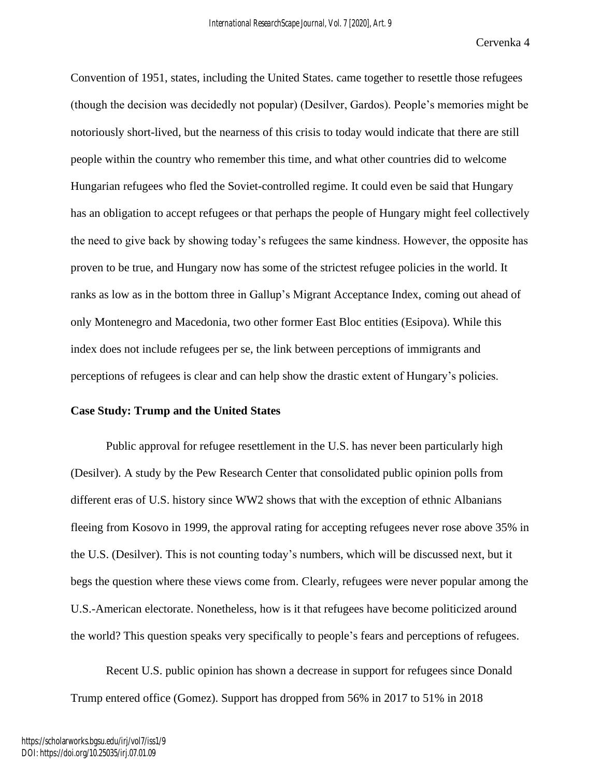Convention of 1951, states, including the United States. came together to resettle those refugees (though the decision was decidedly not popular) (Desilver, Gardos). People's memories might be notoriously short-lived, but the nearness of this crisis to today would indicate that there are still people within the country who remember this time, and what other countries did to welcome Hungarian refugees who fled the Soviet-controlled regime. It could even be said that Hungary has an obligation to accept refugees or that perhaps the people of Hungary might feel collectively the need to give back by showing today's refugees the same kindness. However, the opposite has proven to be true, and Hungary now has some of the strictest refugee policies in the world. It ranks as low as in the bottom three in Gallup's Migrant Acceptance Index, coming out ahead of only Montenegro and Macedonia, two other former East Bloc entities (Esipova). While this index does not include refugees per se, the link between perceptions of immigrants and perceptions of refugees is clear and can help show the drastic extent of Hungary's policies.

#### **Case Study: Trump and the United States**

Public approval for refugee resettlement in the U.S. has never been particularly high (Desilver). A study by the Pew Research Center that consolidated public opinion polls from different eras of U.S. history since WW2 shows that with the exception of ethnic Albanians fleeing from Kosovo in 1999, the approval rating for accepting refugees never rose above 35% in the U.S. (Desilver). This is not counting today's numbers, which will be discussed next, but it begs the question where these views come from. Clearly, refugees were never popular among the U.S.-American electorate. Nonetheless, how is it that refugees have become politicized around the world? This question speaks very specifically to people's fears and perceptions of refugees.

Recent U.S. public opinion has shown a decrease in support for refugees since Donald Trump entered office (Gomez). Support has dropped from 56% in 2017 to 51% in 2018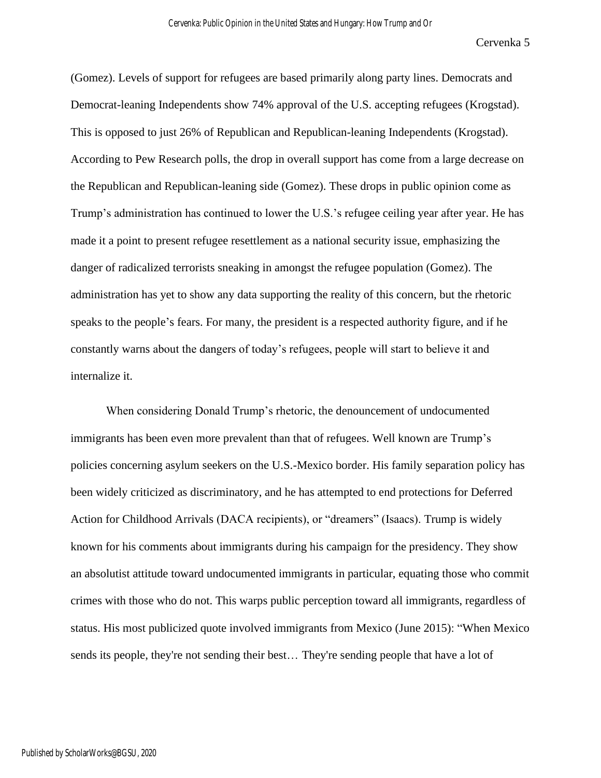(Gomez). Levels of support for refugees are based primarily along party lines. Democrats and Democrat-leaning Independents show 74% approval of the U.S. accepting refugees (Krogstad). This is opposed to just 26% of Republican and Republican-leaning Independents (Krogstad). According to Pew Research polls, the drop in overall support has come from a large decrease on the Republican and Republican-leaning side (Gomez). These drops in public opinion come as Trump's administration has continued to lower the U.S.'s refugee ceiling year after year. He has made it a point to present refugee resettlement as a national security issue, emphasizing the danger of radicalized terrorists sneaking in amongst the refugee population (Gomez). The administration has yet to show any data supporting the reality of this concern, but the rhetoric speaks to the people's fears. For many, the president is a respected authority figure, and if he constantly warns about the dangers of today's refugees, people will start to believe it and internalize it.

When considering Donald Trump's rhetoric, the denouncement of undocumented immigrants has been even more prevalent than that of refugees. Well known are Trump's policies concerning asylum seekers on the U.S.-Mexico border. His family separation policy has been widely criticized as discriminatory, and he has attempted to end protections for Deferred Action for Childhood Arrivals (DACA recipients), or "dreamers" (Isaacs). Trump is widely known for his comments about immigrants during his campaign for the presidency. They show an absolutist attitude toward undocumented immigrants in particular, equating those who commit crimes with those who do not. This warps public perception toward all immigrants, regardless of status. His most publicized quote involved immigrants from Mexico (June 2015): "When Mexico sends its people, they're not sending their best… They're sending people that have a lot of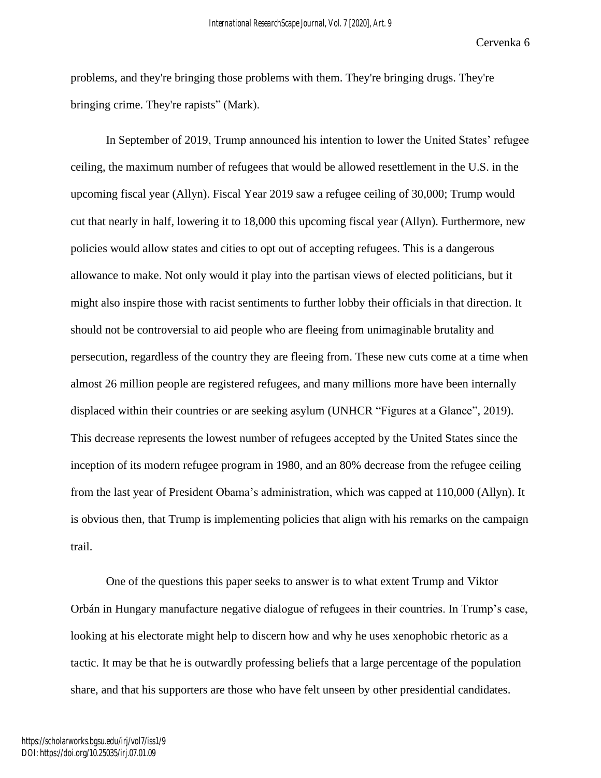problems, and they're bringing those problems with them. They're bringing drugs. They're bringing crime. They're rapists" (Mark).

In September of 2019, Trump announced his intention to lower the United States' refugee ceiling, the maximum number of refugees that would be allowed resettlement in the U.S. in the upcoming fiscal year (Allyn). Fiscal Year 2019 saw a refugee ceiling of 30,000; Trump would cut that nearly in half, lowering it to 18,000 this upcoming fiscal year (Allyn). Furthermore, new policies would allow states and cities to opt out of accepting refugees. This is a dangerous allowance to make. Not only would it play into the partisan views of elected politicians, but it might also inspire those with racist sentiments to further lobby their officials in that direction. It should not be controversial to aid people who are fleeing from unimaginable brutality and persecution, regardless of the country they are fleeing from. These new cuts come at a time when almost 26 million people are registered refugees, and many millions more have been internally displaced within their countries or are seeking asylum (UNHCR "Figures at a Glance", 2019). This decrease represents the lowest number of refugees accepted by the United States since the inception of its modern refugee program in 1980, and an 80% decrease from the refugee ceiling from the last year of President Obama's administration, which was capped at 110,000 (Allyn). It is obvious then, that Trump is implementing policies that align with his remarks on the campaign trail.

One of the questions this paper seeks to answer is to what extent Trump and Viktor Orbán in Hungary manufacture negative dialogue of refugees in their countries. In Trump's case, looking at his electorate might help to discern how and why he uses xenophobic rhetoric as a tactic. It may be that he is outwardly professing beliefs that a large percentage of the population share, and that his supporters are those who have felt unseen by other presidential candidates.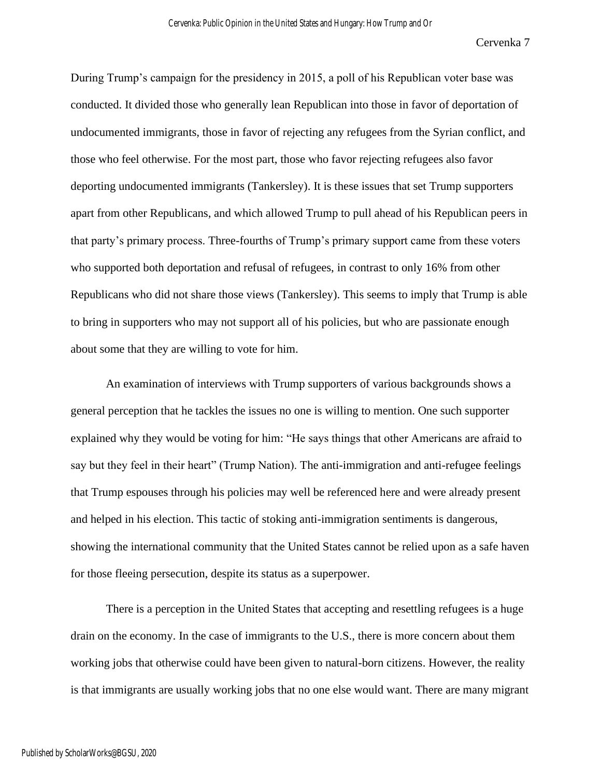During Trump's campaign for the presidency in 2015, a poll of his Republican voter base was conducted. It divided those who generally lean Republican into those in favor of deportation of undocumented immigrants, those in favor of rejecting any refugees from the Syrian conflict, and those who feel otherwise. For the most part, those who favor rejecting refugees also favor deporting undocumented immigrants (Tankersley). It is these issues that set Trump supporters apart from other Republicans, and which allowed Trump to pull ahead of his Republican peers in that party's primary process. Three-fourths of Trump's primary support came from these voters who supported both deportation and refusal of refugees, in contrast to only 16% from other Republicans who did not share those views (Tankersley). This seems to imply that Trump is able to bring in supporters who may not support all of his policies, but who are passionate enough about some that they are willing to vote for him.

An examination of interviews with Trump supporters of various backgrounds shows a general perception that he tackles the issues no one is willing to mention. One such supporter explained why they would be voting for him: "He says things that other Americans are afraid to say but they feel in their heart" (Trump Nation). The anti-immigration and anti-refugee feelings that Trump espouses through his policies may well be referenced here and were already present and helped in his election. This tactic of stoking anti-immigration sentiments is dangerous, showing the international community that the United States cannot be relied upon as a safe haven for those fleeing persecution, despite its status as a superpower.

There is a perception in the United States that accepting and resettling refugees is a huge drain on the economy. In the case of immigrants to the U.S., there is more concern about them working jobs that otherwise could have been given to natural-born citizens. However, the reality is that immigrants are usually working jobs that no one else would want. There are many migrant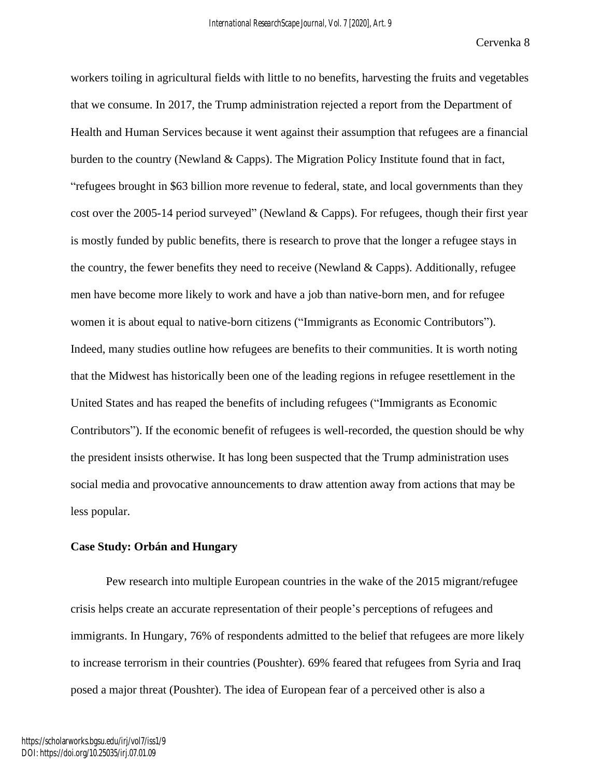workers toiling in agricultural fields with little to no benefits, harvesting the fruits and vegetables that we consume. In 2017, the Trump administration rejected a report from the Department of Health and Human Services because it went against their assumption that refugees are a financial burden to the country (Newland & Capps). The Migration Policy Institute found that in fact, "refugees brought in \$63 billion more revenue to federal, state, and local governments than they cost over the 2005-14 period surveyed" (Newland & Capps). For refugees, though their first year is mostly funded by public benefits, there is research to prove that the longer a refugee stays in the country, the fewer benefits they need to receive (Newland  $& Capps$ ). Additionally, refugee men have become more likely to work and have a job than native-born men, and for refugee women it is about equal to native-born citizens ("Immigrants as Economic Contributors"). Indeed, many studies outline how refugees are benefits to their communities. It is worth noting that the Midwest has historically been one of the leading regions in refugee resettlement in the United States and has reaped the benefits of including refugees ("Immigrants as Economic Contributors"). If the economic benefit of refugees is well-recorded, the question should be why the president insists otherwise. It has long been suspected that the Trump administration uses social media and provocative announcements to draw attention away from actions that may be less popular.

#### **Case Study: Orbán and Hungary**

Pew research into multiple European countries in the wake of the 2015 migrant/refugee crisis helps create an accurate representation of their people's perceptions of refugees and immigrants. In Hungary, 76% of respondents admitted to the belief that refugees are more likely to increase terrorism in their countries (Poushter). 69% feared that refugees from Syria and Iraq posed a major threat (Poushter). The idea of European fear of a perceived other is also a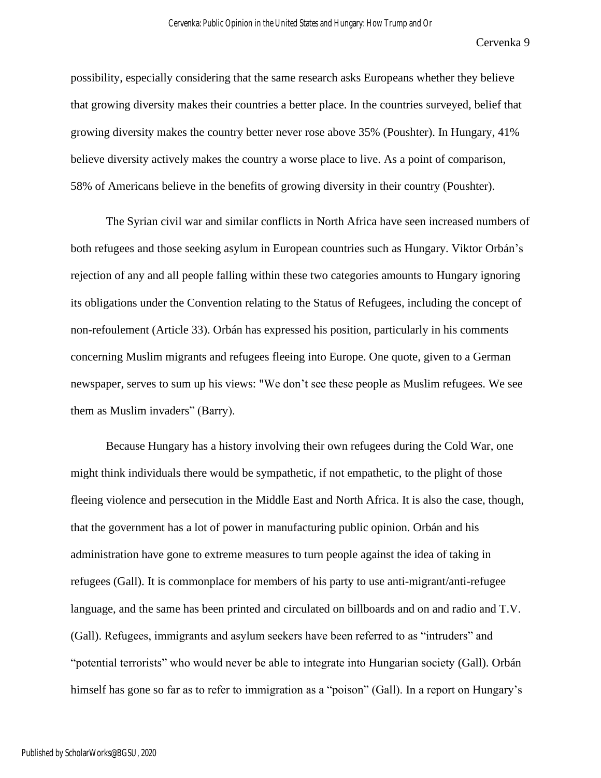possibility, especially considering that the same research asks Europeans whether they believe that growing diversity makes their countries a better place. In the countries surveyed, belief that growing diversity makes the country better never rose above 35% (Poushter). In Hungary, 41% believe diversity actively makes the country a worse place to live. As a point of comparison, 58% of Americans believe in the benefits of growing diversity in their country (Poushter).

The Syrian civil war and similar conflicts in North Africa have seen increased numbers of both refugees and those seeking asylum in European countries such as Hungary. Viktor Orbán's rejection of any and all people falling within these two categories amounts to Hungary ignoring its obligations under the Convention relating to the Status of Refugees, including the concept of non-refoulement (Article 33). Orbán has expressed his position, particularly in his comments concerning Muslim migrants and refugees fleeing into Europe. One quote, given to a German newspaper, serves to sum up his views: "We don't see these people as Muslim refugees. We see them as Muslim invaders" (Barry).

Because Hungary has a history involving their own refugees during the Cold War, one might think individuals there would be sympathetic, if not empathetic, to the plight of those fleeing violence and persecution in the Middle East and North Africa. It is also the case, though, that the government has a lot of power in manufacturing public opinion. Orbán and his administration have gone to extreme measures to turn people against the idea of taking in refugees (Gall). It is commonplace for members of his party to use anti-migrant/anti-refugee language, and the same has been printed and circulated on billboards and on and radio and T.V. (Gall). Refugees, immigrants and asylum seekers have been referred to as "intruders" and "potential terrorists" who would never be able to integrate into Hungarian society (Gall). Orbán himself has gone so far as to refer to immigration as a "poison" (Gall). In a report on Hungary's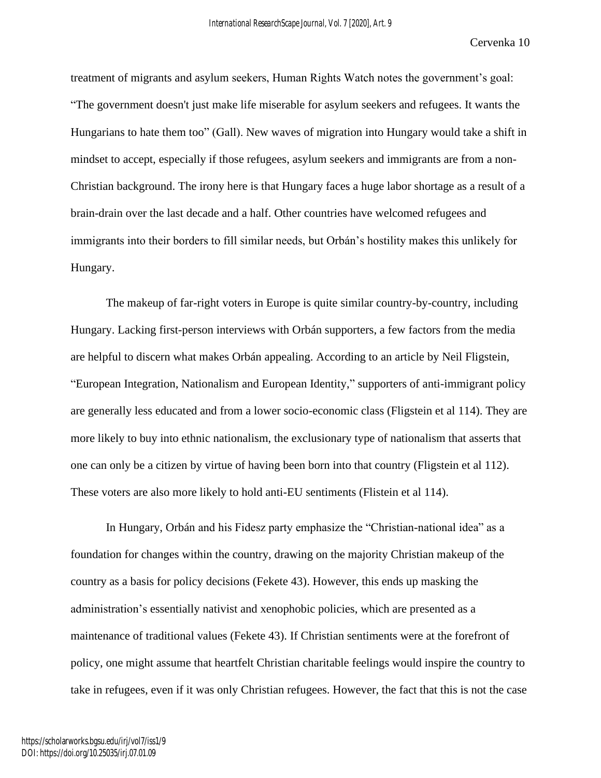treatment of migrants and asylum seekers, Human Rights Watch notes the government's goal: "The government doesn't just make life miserable for asylum seekers and refugees. It wants the Hungarians to hate them too" (Gall). New waves of migration into Hungary would take a shift in mindset to accept, especially if those refugees, asylum seekers and immigrants are from a non-Christian background. The irony here is that Hungary faces a huge labor shortage as a result of a brain-drain over the last decade and a half. Other countries have welcomed refugees and immigrants into their borders to fill similar needs, but Orbán's hostility makes this unlikely for Hungary.

The makeup of far-right voters in Europe is quite similar country-by-country, including Hungary. Lacking first-person interviews with Orbán supporters, a few factors from the media are helpful to discern what makes Orbán appealing. According to an article by Neil Fligstein, "European Integration, Nationalism and European Identity," supporters of anti-immigrant policy are generally less educated and from a lower socio-economic class (Fligstein et al 114). They are more likely to buy into ethnic nationalism, the exclusionary type of nationalism that asserts that one can only be a citizen by virtue of having been born into that country (Fligstein et al 112). These voters are also more likely to hold anti-EU sentiments (Flistein et al 114).

In Hungary, Orbán and his Fidesz party emphasize the "Christian-national idea" as a foundation for changes within the country, drawing on the majority Christian makeup of the country as a basis for policy decisions (Fekete 43). However, this ends up masking the administration's essentially nativist and xenophobic policies, which are presented as a maintenance of traditional values (Fekete 43). If Christian sentiments were at the forefront of policy, one might assume that heartfelt Christian charitable feelings would inspire the country to take in refugees, even if it was only Christian refugees. However, the fact that this is not the case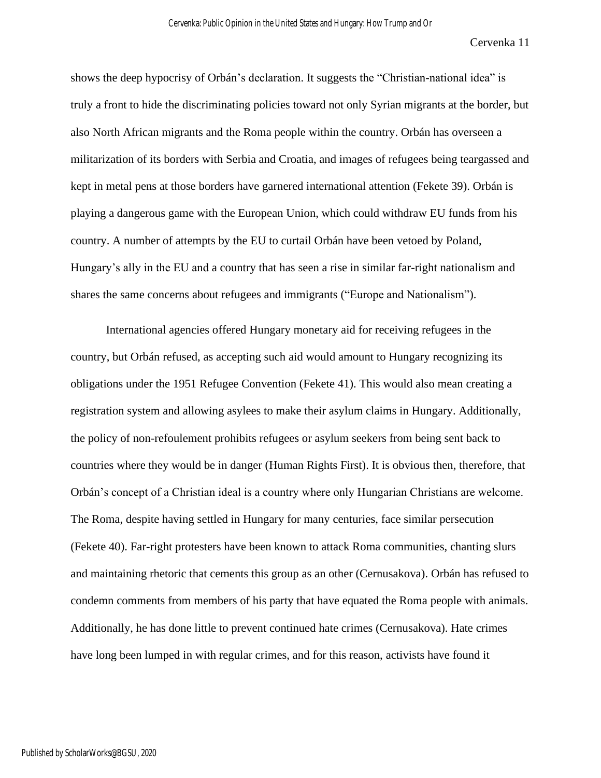shows the deep hypocrisy of Orbán's declaration. It suggests the "Christian-national idea" is truly a front to hide the discriminating policies toward not only Syrian migrants at the border, but also North African migrants and the Roma people within the country. Orbán has overseen a militarization of its borders with Serbia and Croatia, and images of refugees being teargassed and kept in metal pens at those borders have garnered international attention (Fekete 39). Orbán is playing a dangerous game with the European Union, which could withdraw EU funds from his country. A number of attempts by the EU to curtail Orbán have been vetoed by Poland, Hungary's ally in the EU and a country that has seen a rise in similar far-right nationalism and shares the same concerns about refugees and immigrants ("Europe and Nationalism").

International agencies offered Hungary monetary aid for receiving refugees in the country, but Orbán refused, as accepting such aid would amount to Hungary recognizing its obligations under the 1951 Refugee Convention (Fekete 41). This would also mean creating a registration system and allowing asylees to make their asylum claims in Hungary. Additionally, the policy of non-refoulement prohibits refugees or asylum seekers from being sent back to countries where they would be in danger (Human Rights First). It is obvious then, therefore, that Orbán's concept of a Christian ideal is a country where only Hungarian Christians are welcome. The Roma, despite having settled in Hungary for many centuries, face similar persecution (Fekete 40). Far-right protesters have been known to attack Roma communities, chanting slurs and maintaining rhetoric that cements this group as an other (Cernusakova). Orbán has refused to condemn comments from members of his party that have equated the Roma people with animals. Additionally, he has done little to prevent continued hate crimes (Cernusakova). Hate crimes have long been lumped in with regular crimes, and for this reason, activists have found it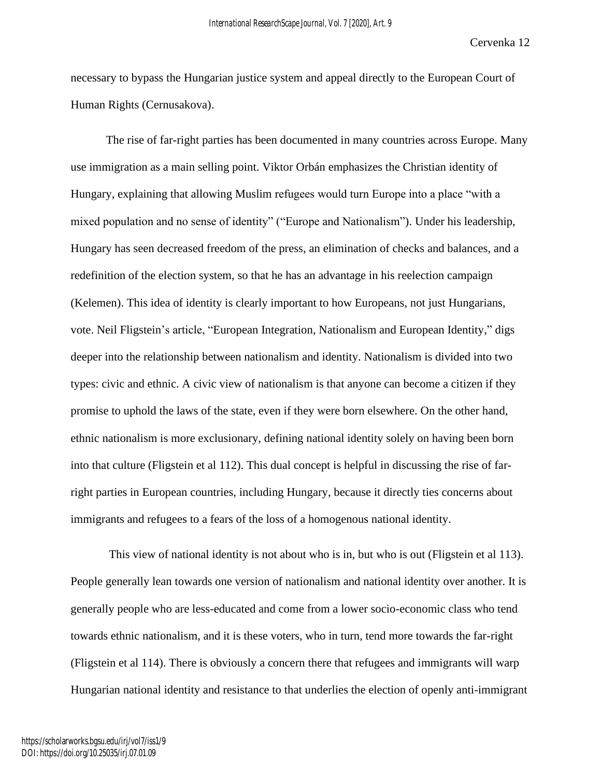necessary to bypass the Hungarian justice system and appeal directly to the European Court of Human Rights (Cernusakova).

The rise of far-right parties has been documented in many countries across Europe. Many use immigration as a main selling point. Viktor Orbán emphasizes the Christian identity of Hungary, explaining that allowing Muslim refugees would turn Europe into a place "with a mixed population and no sense of identity" ("Europe and Nationalism"). Under his leadership, Hungary has seen decreased freedom of the press, an elimination of checks and balances, and a redefinition of the election system, so that he has an advantage in his reelection campaign (Kelemen). This idea of identity is clearly important to how Europeans, not just Hungarians, vote. Neil Fligstein's article, "European Integration, Nationalism and European Identity," digs deeper into the relationship between nationalism and identity. Nationalism is divided into two types: civic and ethnic. A civic view of nationalism is that anyone can become a citizen if they promise to uphold the laws of the state, even if they were born elsewhere. On the other hand, ethnic nationalism is more exclusionary, defining national identity solely on having been born into that culture (Fligstein et al 112). This dual concept is helpful in discussing the rise of farright parties in European countries, including Hungary, because it directly ties concerns about immigrants and refugees to a fears of the loss of a homogenous national identity.

This view of national identity is not about who is in, but who is out (Fligstein et al 113). People generally lean towards one version of nationalism and national identity over another. It is generally people who are less-educated and come from a lower socio-economic class who tend towards ethnic nationalism, and it is these voters, who in turn, tend more towards the far-right (Fligstein et al 114). There is obviously a concern there that refugees and immigrants will warp Hungarian national identity and resistance to that underlies the election of openly anti-immigrant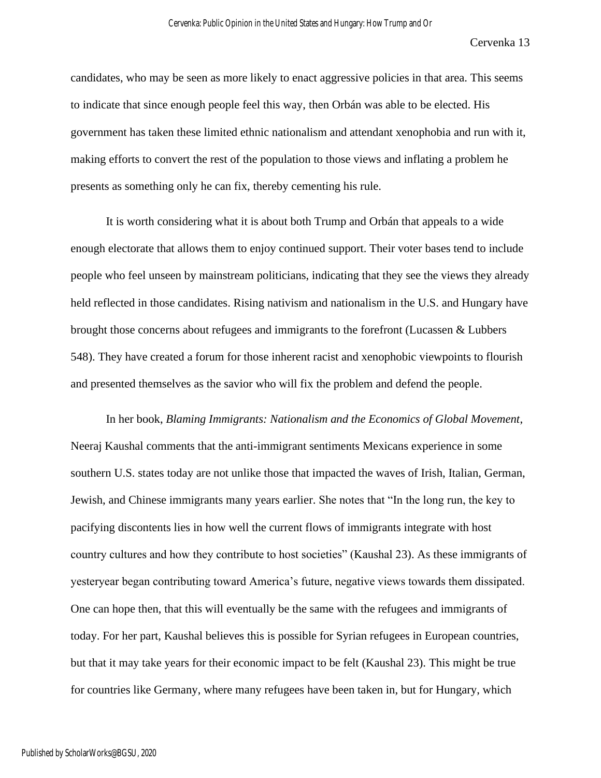candidates, who may be seen as more likely to enact aggressive policies in that area. This seems to indicate that since enough people feel this way, then Orbán was able to be elected. His government has taken these limited ethnic nationalism and attendant xenophobia and run with it, making efforts to convert the rest of the population to those views and inflating a problem he presents as something only he can fix, thereby cementing his rule.

It is worth considering what it is about both Trump and Orbán that appeals to a wide enough electorate that allows them to enjoy continued support. Their voter bases tend to include people who feel unseen by mainstream politicians, indicating that they see the views they already held reflected in those candidates. Rising nativism and nationalism in the U.S. and Hungary have brought those concerns about refugees and immigrants to the forefront (Lucassen & Lubbers 548). They have created a forum for those inherent racist and xenophobic viewpoints to flourish and presented themselves as the savior who will fix the problem and defend the people.

In her book, *Blaming Immigrants: Nationalism and the Economics of Global Movement*, Neeraj Kaushal comments that the anti-immigrant sentiments Mexicans experience in some southern U.S. states today are not unlike those that impacted the waves of Irish, Italian, German, Jewish, and Chinese immigrants many years earlier. She notes that "In the long run, the key to pacifying discontents lies in how well the current flows of immigrants integrate with host country cultures and how they contribute to host societies" (Kaushal 23). As these immigrants of yesteryear began contributing toward America's future, negative views towards them dissipated. One can hope then, that this will eventually be the same with the refugees and immigrants of today. For her part, Kaushal believes this is possible for Syrian refugees in European countries, but that it may take years for their economic impact to be felt (Kaushal 23). This might be true for countries like Germany, where many refugees have been taken in, but for Hungary, which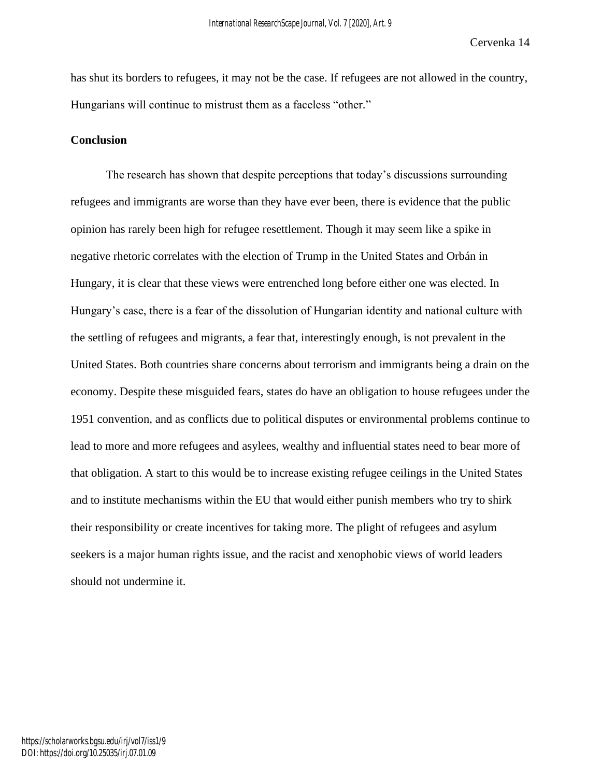has shut its borders to refugees, it may not be the case. If refugees are not allowed in the country, Hungarians will continue to mistrust them as a faceless "other."

#### **Conclusion**

The research has shown that despite perceptions that today's discussions surrounding refugees and immigrants are worse than they have ever been, there is evidence that the public opinion has rarely been high for refugee resettlement. Though it may seem like a spike in negative rhetoric correlates with the election of Trump in the United States and Orbán in Hungary, it is clear that these views were entrenched long before either one was elected. In Hungary's case, there is a fear of the dissolution of Hungarian identity and national culture with the settling of refugees and migrants, a fear that, interestingly enough, is not prevalent in the United States. Both countries share concerns about terrorism and immigrants being a drain on the economy. Despite these misguided fears, states do have an obligation to house refugees under the 1951 convention, and as conflicts due to political disputes or environmental problems continue to lead to more and more refugees and asylees, wealthy and influential states need to bear more of that obligation. A start to this would be to increase existing refugee ceilings in the United States and to institute mechanisms within the EU that would either punish members who try to shirk their responsibility or create incentives for taking more. The plight of refugees and asylum seekers is a major human rights issue, and the racist and xenophobic views of world leaders should not undermine it.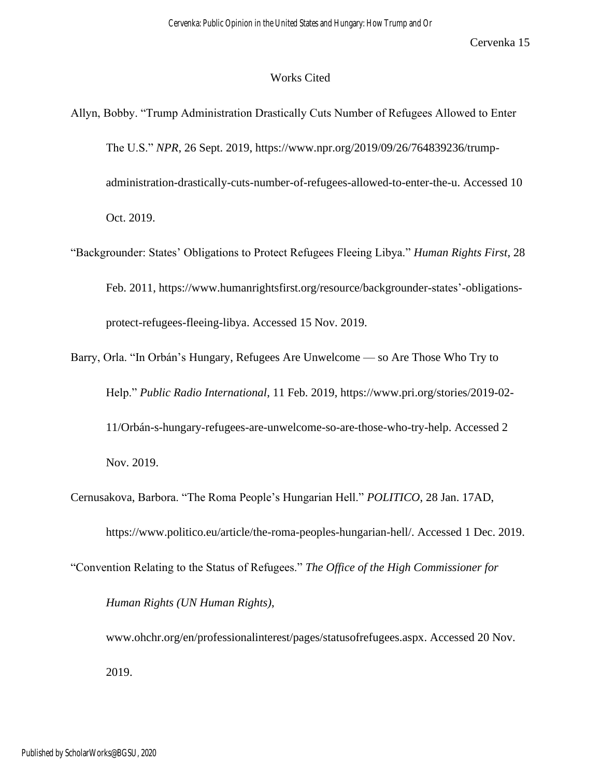#### Works Cited

- Allyn, Bobby. "Trump Administration Drastically Cuts Number of Refugees Allowed to Enter The U.S." *NPR*, 26 Sept. 2019, https://www.npr.org/2019/09/26/764839236/trumpadministration-drastically-cuts-number-of-refugees-allowed-to-enter-the-u. Accessed 10 Oct. 2019.
- "Backgrounder: States' Obligations to Protect Refugees Fleeing Libya." *Human Rights First*, 28 Feb. 2011, https://www.humanrightsfirst.org/resource/backgrounder-states'-obligationsprotect-refugees-fleeing-libya. Accessed 15 Nov. 2019.
- Barry, Orla. "In Orbán's Hungary, Refugees Are Unwelcome so Are Those Who Try to Help." *Public Radio International*, 11 Feb. 2019, https://www.pri.org/stories/2019-02- 11/Orbán-s-hungary-refugees-are-unwelcome-so-are-those-who-try-help. Accessed 2 Nov. 2019.
- Cernusakova, Barbora. "The Roma People's Hungarian Hell." *POLITICO*, 28 Jan. 17AD, https://www.politico.eu/article/the-roma-peoples-hungarian-hell/. Accessed 1 Dec. 2019.
- "Convention Relating to the Status of Refugees." *The Office of the High Commissioner for*

*Human Rights (UN Human Rights)*,

www.ohchr.org/en/professionalinterest/pages/statusofrefugees.aspx. Accessed 20 Nov. 2019.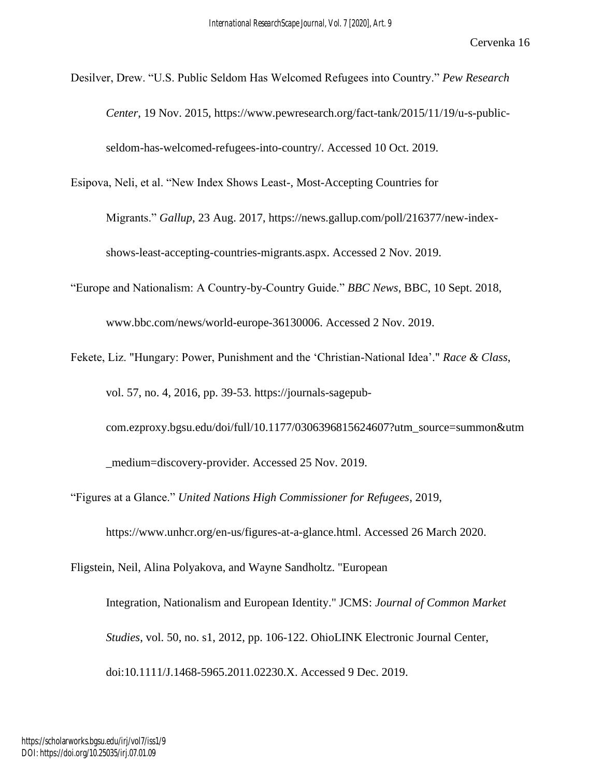Desilver, Drew. "U.S. Public Seldom Has Welcomed Refugees into Country." *Pew Research Center*, 19 Nov. 2015, https://www.pewresearch.org/fact-tank/2015/11/19/u-s-publicseldom-has-welcomed-refugees-into-country/. Accessed 10 Oct. 2019.

Esipova, Neli, et al. "New Index Shows Least-, Most-Accepting Countries for

Migrants." *Gallup*, 23 Aug. 2017, https://news.gallup.com/poll/216377/new-indexshows-least-accepting-countries-migrants.aspx. Accessed 2 Nov. 2019.

- "Europe and Nationalism: A Country-by-Country Guide." *BBC News*, BBC, 10 Sept. 2018, www.bbc.com/news/world-europe-36130006. Accessed 2 Nov. 2019.
- Fekete, Liz. "Hungary: Power, Punishment and the 'Christian-National Idea'." *Race & Class*, vol. 57, no. 4, 2016, pp. 39-53. https://journals-sagepub-

com.ezproxy.bgsu.edu/doi/full/10.1177/0306396815624607?utm\_source=summon&utm \_medium=discovery-provider. Accessed 25 Nov. 2019.

"Figures at a Glance." *United Nations High Commissioner for Refugees*, 2019,

https://www.unhcr.org/en-us/figures-at-a-glance.html. Accessed 26 March 2020.

Fligstein, Neil, Alina Polyakova, and Wayne Sandholtz. "European

Integration, Nationalism and European Identity." JCMS: *Journal of Common Market Studies*, vol. 50, no. s1, 2012, pp. 106-122. OhioLINK Electronic Journal Center, doi:10.1111/J.1468-5965.2011.02230.X. Accessed 9 Dec. 2019.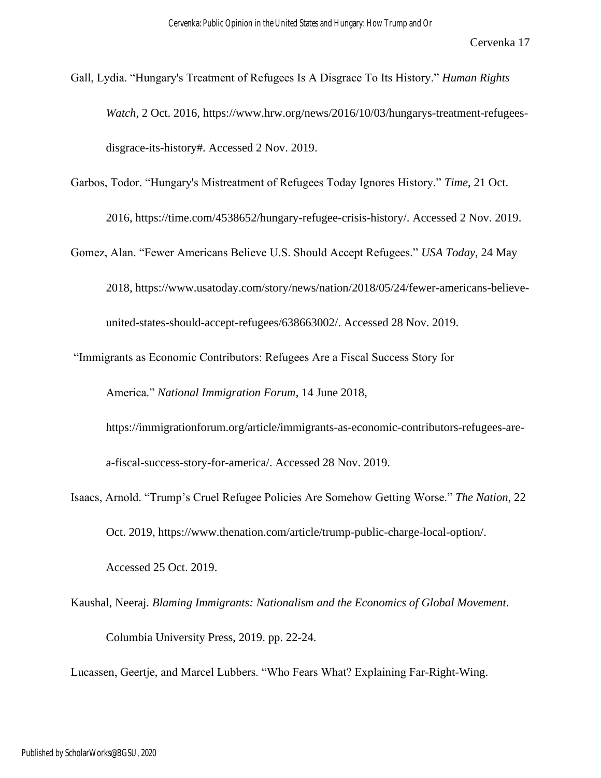- Gall, Lydia. "Hungary's Treatment of Refugees Is A Disgrace To Its History." *Human Rights Watch*, 2 Oct. 2016, https://www.hrw.org/news/2016/10/03/hungarys-treatment-refugeesdisgrace-its-history#. Accessed 2 Nov. 2019.
- Garbos, Todor. "Hungary's Mistreatment of Refugees Today Ignores History." *Time*, 21 Oct.

2016, https://time.com/4538652/hungary-refugee-crisis-history/. Accessed 2 Nov. 2019.

Gomez, Alan. "Fewer Americans Believe U.S. Should Accept Refugees." *USA Today*, 24 May

2018, https://www.usatoday.com/story/news/nation/2018/05/24/fewer-americans-believeunited-states-should-accept-refugees/638663002/. Accessed 28 Nov. 2019.

"Immigrants as Economic Contributors: Refugees Are a Fiscal Success Story for

America." *National Immigration Forum*, 14 June 2018,

https://immigrationforum.org/article/immigrants-as-economic-contributors-refugees-area-fiscal-success-story-for-america/. Accessed 28 Nov. 2019.

Isaacs, Arnold. "Trump's Cruel Refugee Policies Are Somehow Getting Worse." *The Nation*, 22 Oct. 2019, https://www.thenation.com/article/trump-public-charge-local-option/.

Accessed 25 Oct. 2019.

Kaushal, Neeraj. *Blaming Immigrants: Nationalism and the Economics of Global Movement*. Columbia University Press, 2019. pp. 22-24.

Lucassen, Geertje, and Marcel Lubbers. "Who Fears What? Explaining Far-Right-Wing.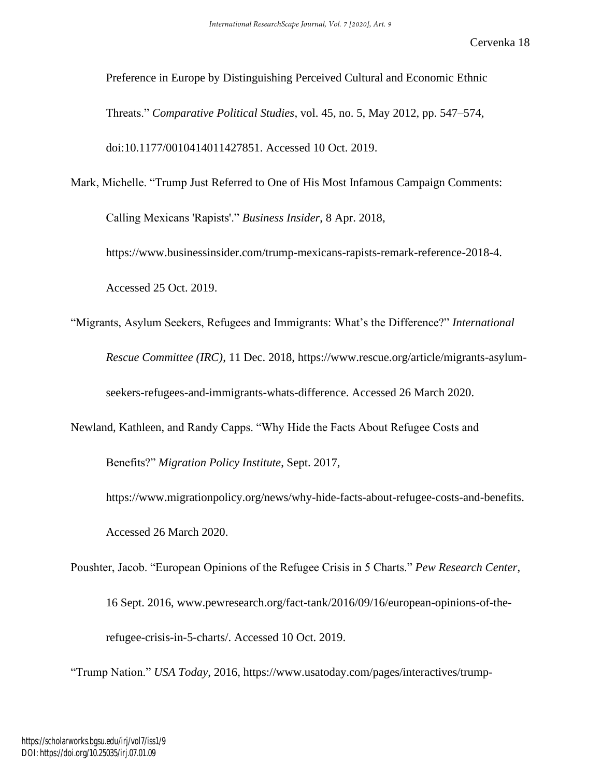Preference in Europe by Distinguishing Perceived Cultural and Economic Ethnic Threats." *Comparative Political Studies*, vol. 45, no. 5, May 2012, pp. 547–574, doi:10.1177/0010414011427851. Accessed 10 Oct. 2019.

Mark, Michelle. "Trump Just Referred to One of His Most Infamous Campaign Comments:

Calling Mexicans 'Rapists'." *Business Insider*, 8 Apr. 2018,

https://www.businessinsider.com/trump-mexicans-rapists-remark-reference-2018-4. Accessed 25 Oct. 2019.

"Migrants, Asylum Seekers, Refugees and Immigrants: What's the Difference?" *International Rescue Committee (IRC)*, 11 Dec. 2018, https://www.rescue.org/article/migrants-asylumseekers-refugees-and-immigrants-whats-difference. Accessed 26 March 2020.

Newland, Kathleen, and Randy Capps. "Why Hide the Facts About Refugee Costs and

Benefits?" *Migration Policy Institute*, Sept. 2017,

https://www.migrationpolicy.org/news/why-hide-facts-about-refugee-costs-and-benefits. Accessed 26 March 2020.

Poushter, Jacob. "European Opinions of the Refugee Crisis in 5 Charts." *Pew Research Center*, 16 Sept. 2016, www.pewresearch.org/fact-tank/2016/09/16/european-opinions-of-therefugee-crisis-in-5-charts/. Accessed 10 Oct. 2019.

"Trump Nation." *USA Today*, 2016, https://www.usatoday.com/pages/interactives/trump-